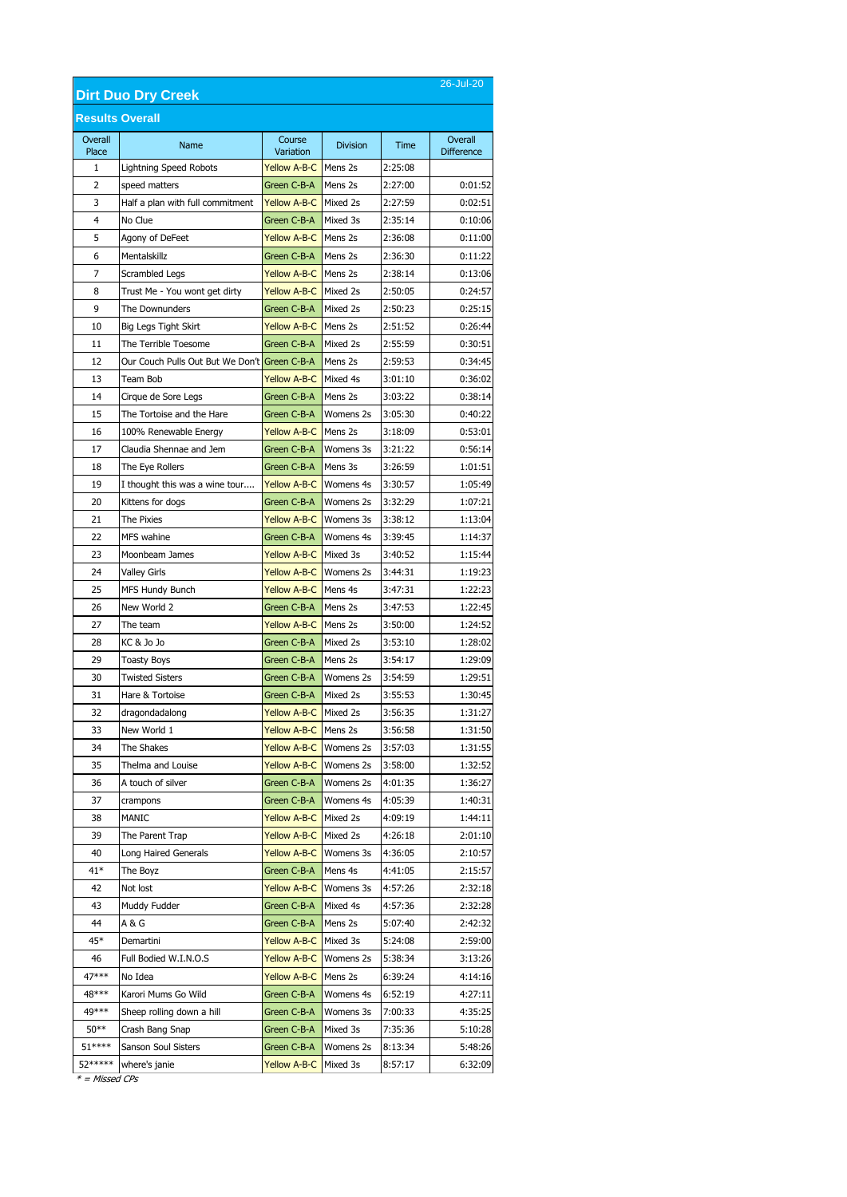| 26-Jul-20<br><b>Dirt Duo Dry Creek</b> |                                              |                        |                 |         |                              |  |
|----------------------------------------|----------------------------------------------|------------------------|-----------------|---------|------------------------------|--|
|                                        | <b>Results Overall</b>                       |                        |                 |         |                              |  |
| Overall<br>Place                       | Name                                         | Course<br>Variation    | <b>Division</b> | Time    | Overall<br><b>Difference</b> |  |
| 1                                      | <b>Lightning Speed Robots</b>                | Yellow A-B-C   Mens 2s |                 | 2:25:08 |                              |  |
| 2                                      | speed matters                                | Green C-B-A            | Mens 2s         | 2:27:00 | 0:01:52                      |  |
| 3                                      | Half a plan with full commitment             | Yellow A-B-C Mixed 2s  |                 | 2:27:59 | 0:02:51                      |  |
| 4                                      | No Clue                                      | Green C-B-A            | Mixed 3s        | 2:35:14 | 0:10:06                      |  |
| 5                                      | Agony of DeFeet                              | <b>Yellow A-B-C</b>    | Mens 2s         | 2:36:08 | 0:11:00                      |  |
| 6                                      | Mentalskillz                                 | Green C-B-A            | Mens 2s         | 2:36:30 | 0:11:22                      |  |
| 7                                      | Scrambled Legs                               | <b>Yellow A-B-C</b>    | Mens 2s         | 2:38:14 | 0:13:06                      |  |
| 8                                      | Trust Me - You wont get dirty                | <b>Yellow A-B-C</b>    | Mixed 2s        | 2:50:05 | 0:24:57                      |  |
| 9                                      | The Downunders                               | Green C-B-A            | Mixed 2s        | 2:50:23 | 0:25:15                      |  |
| 10                                     | Big Legs Tight Skirt                         | <b>Yellow A-B-C</b>    | Mens 2s         | 2:51:52 | 0:26:44                      |  |
| 11                                     | The Terrible Toesome                         | Green C-B-A            | Mixed 2s        | 2:55:59 | 0:30:51                      |  |
| 12                                     | Our Couch Pulls Out But We Don't Green C-B-A |                        | Mens 2s         | 2:59:53 | 0:34:45                      |  |
| 13                                     | Team Bob                                     | <b>Yellow A-B-C</b>    | Mixed 4s        | 3:01:10 | 0:36:02                      |  |
| 14                                     | Cirque de Sore Legs                          | Green C-B-A            | Mens 2s         | 3:03:22 | 0:38:14                      |  |
| 15                                     | The Tortoise and the Hare                    | Green C-B-A            | Womens 2s       | 3:05:30 | 0:40:22                      |  |
| 16                                     | 100% Renewable Energy                        | <b>Yellow A-B-C</b>    | Mens 2s         | 3:18:09 | 0:53:01                      |  |
| 17                                     | Claudia Shennae and Jem                      | Green C-B-A            | Womens 3s       | 3:21:22 | 0:56:14                      |  |
| 18                                     | The Eye Rollers                              | Green C-B-A            | Mens 3s         | 3:26:59 | 1:01:51                      |  |
| 19                                     | I thought this was a wine tour               | <b>Yellow A-B-C</b>    | Womens 4s       | 3:30:57 | 1:05:49                      |  |
| 20                                     | Kittens for dogs                             | Green C-B-A            | Womens 2s       | 3:32:29 | 1:07:21                      |  |
| 21                                     | The Pixies                                   | <b>Yellow A-B-C</b>    | Womens 3s       | 3:38:12 | 1:13:04                      |  |
| 22                                     | MFS wahine                                   | Green C-B-A            | Womens 4s       | 3:39:45 | 1:14:37                      |  |
| 23                                     | Moonbeam James                               | <b>Yellow A-B-C</b>    | Mixed 3s        | 3:40:52 | 1:15:44                      |  |
| 24                                     | Valley Girls                                 | <b>Yellow A-B-C</b>    | Womens 2s       | 3:44:31 | 1:19:23                      |  |
| 25                                     | <b>MFS Hundy Bunch</b>                       | <b>Yellow A-B-C</b>    | Mens 4s         | 3:47:31 | 1:22:23                      |  |
| 26                                     | New World 2                                  | Green C-B-A            | Mens 2s         | 3:47:53 | 1:22:45                      |  |
| 27                                     | The team                                     | <b>Yellow A-B-C</b>    | Mens 2s         | 3:50:00 | 1:24:52                      |  |
| 28                                     | KC & Jo Jo                                   | Green C-B-A            | Mixed 2s        | 3:53:10 | 1:28:02                      |  |
| 29                                     | <b>Toasty Boys</b>                           | Green C-B-A            | Mens 2s         | 3:54:17 | 1:29:09                      |  |
| 30                                     | <b>Twisted Sisters</b>                       | Green C-B-A            | Womens 2s       | 3:54:59 | 1:29:51                      |  |
| 31                                     | Hare & Tortoise                              | Green C-B-A            | Mixed 2s        | 3:55:53 | 1:30:45                      |  |
| 32                                     | dragondadalong                               | Yellow A-B-C Mixed 2s  |                 | 3:56:35 | 1:31:27                      |  |
| 33                                     | New World 1                                  | <b>Yellow A-B-C</b>    | Mens 2s         | 3:56:58 | 1:31:50                      |  |
| 34                                     | The Shakes                                   | <b>Yellow A-B-C</b>    | Womens 2s       | 3:57:03 | 1:31:55                      |  |
| 35                                     | Thelma and Louise                            | <b>Yellow A-B-C</b>    | Womens 2s       | 3:58:00 | 1:32:52                      |  |
| 36                                     | A touch of silver                            | Green C-B-A            | Womens 2s       | 4:01:35 | 1:36:27                      |  |
| 37                                     | crampons                                     | Green C-B-A            | Womens 4s       | 4:05:39 | 1:40:31                      |  |
| 38                                     | MANIC                                        | <b>Yellow A-B-C</b>    | Mixed 2s        | 4:09:19 | 1:44:11                      |  |
| 39                                     | The Parent Trap                              | <b>Yellow A-B-C</b>    | Mixed 2s        | 4:26:18 | 2:01:10                      |  |
| 40                                     | Long Haired Generals                         | <b>Yellow A-B-C</b>    | Womens 3s       | 4:36:05 | 2:10:57                      |  |
| $41*$                                  | The Boyz                                     | Green C-B-A            | Mens 4s         | 4:41:05 | 2:15:57                      |  |
| 42                                     | Not lost                                     | <b>Yellow A-B-C</b>    | Womens 3s       | 4:57:26 | 2:32:18                      |  |
| 43                                     | Muddy Fudder                                 | Green C-B-A            | Mixed 4s        | 4:57:36 | 2:32:28                      |  |
| 44                                     | A & G                                        | Green C-B-A            | Mens 2s         | 5:07:40 | 2:42:32                      |  |
| 45*                                    | Demartini                                    | <b>Yellow A-B-C</b>    | Mixed 3s        | 5:24:08 | 2:59:00                      |  |
| 46                                     | Full Bodied W.I.N.O.S                        | <b>Yellow A-B-C</b>    | Womens 2s       | 5:38:34 | 3:13:26                      |  |
| 47***                                  | No Idea                                      | <b>Yellow A-B-C</b>    | Mens 2s         | 6:39:24 | 4:14:16                      |  |
| 48***                                  | Karori Mums Go Wild                          | Green C-B-A            | Womens 4s       | 6:52:19 | 4:27:11                      |  |
| 49 ***                                 | Sheep rolling down a hill                    | Green C-B-A            | Womens 3s       | 7:00:33 | 4:35:25                      |  |
| $50**$                                 | Crash Bang Snap                              | Green C-B-A            | Mixed 3s        | 7:35:36 | 5:10:28                      |  |
| $51***$                                | Sanson Soul Sisters                          | Green C-B-A            | Womens 2s       | 8:13:34 | 5:48:26                      |  |
| 52*****                                | where's janie                                | <b>Yellow A-B-C</b>    | Mixed 3s        | 8:57:17 | 6:32:09                      |  |

\* = Missed CPs